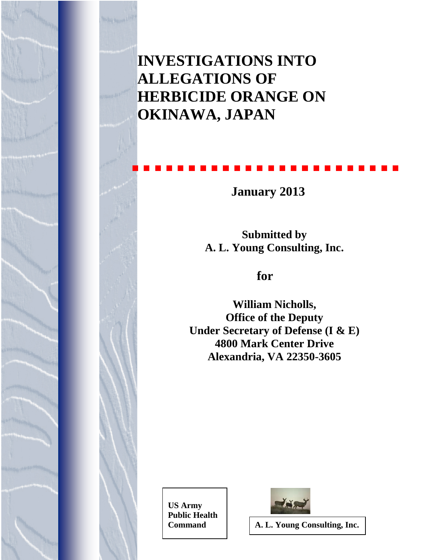**INVESTIGATIONS INTO ALLEGATIONS OF HERBICIDE ORANGE ON OKINAWA, JAPAN**

 **January 2013**

**Submitted by A. L. Young Consulting, Inc.**

# **for**

**William Nicholls, Office of the Deputy Under Secretary of Defense (I & E) 4800 Mark Center Drive Alexandria, VA 22350-3605** 

 **US Army Public Health** 



**Command A. L. Young Consulting, Inc.**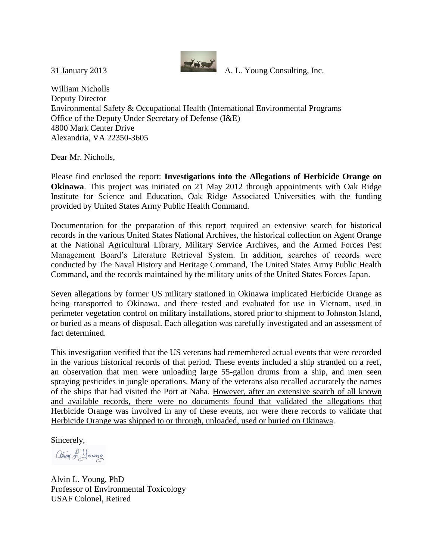

William Nicholls Deputy Director Environmental Safety & Occupational Health (International Environmental Programs Office of the Deputy Under Secretary of Defense (I&E) 4800 Mark Center Drive Alexandria, VA 22350-3605

Dear Mr. Nicholls,

Please find enclosed the report: **Investigations into the Allegations of Herbicide Orange on Okinawa**. This project was initiated on 21 May 2012 through appointments with Oak Ridge Institute for Science and Education, Oak Ridge Associated Universities with the funding provided by United States Army Public Health Command.

Documentation for the preparation of this report required an extensive search for historical records in the various United States National Archives, the historical collection on Agent Orange at the National Agricultural Library, Military Service Archives, and the Armed Forces Pest Management Board's Literature Retrieval System. In addition, searches of records were conducted by The Naval History and Heritage Command, The United States Army Public Health Command, and the records maintained by the military units of the United States Forces Japan.

Seven allegations by former US military stationed in Okinawa implicated Herbicide Orange as being transported to Okinawa, and there tested and evaluated for use in Vietnam, used in perimeter vegetation control on military installations, stored prior to shipment to Johnston Island, or buried as a means of disposal. Each allegation was carefully investigated and an assessment of fact determined.

This investigation verified that the US veterans had remembered actual events that were recorded in the various historical records of that period. These events included a ship stranded on a reef, an observation that men were unloading large 55-gallon drums from a ship, and men seen spraying pesticides in jungle operations. Many of the veterans also recalled accurately the names of the ships that had visited the Port at Naha. However, after an extensive search of all known and available records, there were no documents found that validated the allegations that Herbicide Orange was involved in any of these events, nor were there records to validate that Herbicide Orange was shipped to or through, unloaded, used or buried on Okinawa.

Sincerely,

alin L. Young

Alvin L. Young, PhD Professor of Environmental Toxicology USAF Colonel, Retired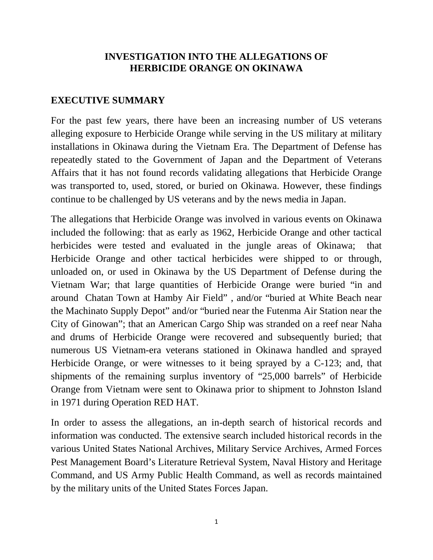#### **INVESTIGATION INTO THE ALLEGATIONS OF HERBICIDE ORANGE ON OKINAWA**

#### **EXECUTIVE SUMMARY**

For the past few years, there have been an increasing number of US veterans alleging exposure to Herbicide Orange while serving in the US military at military installations in Okinawa during the Vietnam Era. The Department of Defense has repeatedly stated to the Government of Japan and the Department of Veterans Affairs that it has not found records validating allegations that Herbicide Orange was transported to, used, stored, or buried on Okinawa. However, these findings continue to be challenged by US veterans and by the news media in Japan.

The allegations that Herbicide Orange was involved in various events on Okinawa included the following: that as early as 1962, Herbicide Orange and other tactical herbicides were tested and evaluated in the jungle areas of Okinawa; that Herbicide Orange and other tactical herbicides were shipped to or through, unloaded on, or used in Okinawa by the US Department of Defense during the Vietnam War; that large quantities of Herbicide Orange were buried "in and around Chatan Town at Hamby Air Field" , and/or "buried at White Beach near the Machinato Supply Depot" and/or "buried near the Futenma Air Station near the City of Ginowan"; that an American Cargo Ship was stranded on a reef near Naha and drums of Herbicide Orange were recovered and subsequently buried; that numerous US Vietnam-era veterans stationed in Okinawa handled and sprayed Herbicide Orange, or were witnesses to it being sprayed by a C-123; and, that shipments of the remaining surplus inventory of "25,000 barrels" of Herbicide Orange from Vietnam were sent to Okinawa prior to shipment to Johnston Island in 1971 during Operation RED HAT.

In order to assess the allegations, an in-depth search of historical records and information was conducted. The extensive search included historical records in the various United States National Archives, Military Service Archives, Armed Forces Pest Management Board's Literature Retrieval System, Naval History and Heritage Command, and US Army Public Health Command, as well as records maintained by the military units of the United States Forces Japan.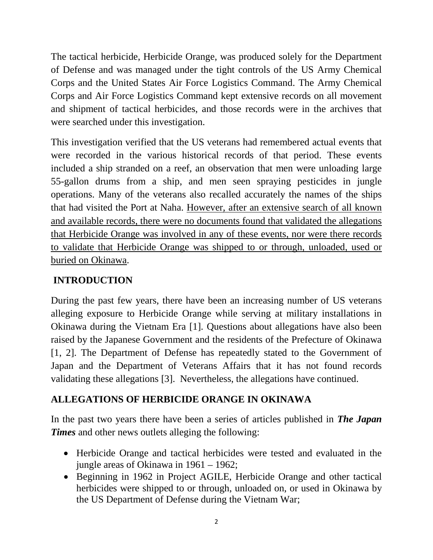The tactical herbicide, Herbicide Orange, was produced solely for the Department of Defense and was managed under the tight controls of the US Army Chemical Corps and the United States Air Force Logistics Command. The Army Chemical Corps and Air Force Logistics Command kept extensive records on all movement and shipment of tactical herbicides, and those records were in the archives that were searched under this investigation.

This investigation verified that the US veterans had remembered actual events that were recorded in the various historical records of that period. These events included a ship stranded on a reef, an observation that men were unloading large 55-gallon drums from a ship, and men seen spraying pesticides in jungle operations. Many of the veterans also recalled accurately the names of the ships that had visited the Port at Naha. However, after an extensive search of all known and available records, there were no documents found that validated the allegations that Herbicide Orange was involved in any of these events, nor were there records to validate that Herbicide Orange was shipped to or through, unloaded, used or buried on Okinawa.

# **INTRODUCTION**

During the past few years, there have been an increasing number of US veterans alleging exposure to Herbicide Orange while serving at military installations in Okinawa during the Vietnam Era [1]. Questions about allegations have also been raised by the Japanese Government and the residents of the Prefecture of Okinawa [1, 2]. The Department of Defense has repeatedly stated to the Government of Japan and the Department of Veterans Affairs that it has not found records validating these allegations [3]. Nevertheless, the allegations have continued.

# **ALLEGATIONS OF HERBICIDE ORANGE IN OKINAWA**

In the past two years there have been a series of articles published in *The Japan Times* and other news outlets alleging the following:

- Herbicide Orange and tactical herbicides were tested and evaluated in the jungle areas of Okinawa in 1961 – 1962;
- Beginning in 1962 in Project AGILE, Herbicide Orange and other tactical herbicides were shipped to or through, unloaded on, or used in Okinawa by the US Department of Defense during the Vietnam War;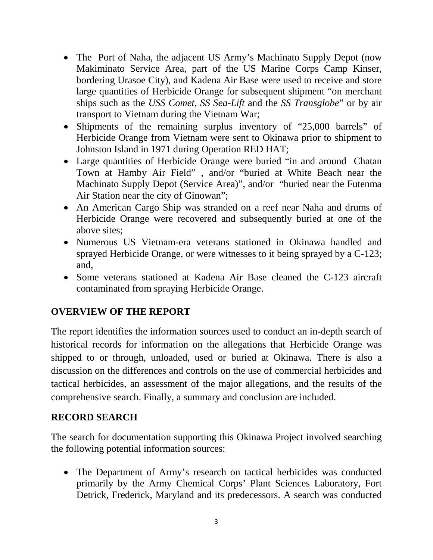- The Port of Naha, the adjacent US Army's Machinato Supply Depot (now Makiminato Service Area, part of the US Marine Corps Camp Kinser, bordering Urasoe City), and Kadena Air Base were used to receive and store large quantities of Herbicide Orange for subsequent shipment "on merchant ships such as the *USS Comet*, *SS Sea-Lift* and the *SS Transglobe*" or by air transport to Vietnam during the Vietnam War;
- Shipments of the remaining surplus inventory of "25,000 barrels" of Herbicide Orange from Vietnam were sent to Okinawa prior to shipment to Johnston Island in 1971 during Operation RED HAT;
- Large quantities of Herbicide Orange were buried "in and around Chatan Town at Hamby Air Field" , and/or "buried at White Beach near the Machinato Supply Depot (Service Area)", and/or "buried near the Futenma Air Station near the city of Ginowan";
- An American Cargo Ship was stranded on a reef near Naha and drums of Herbicide Orange were recovered and subsequently buried at one of the above sites;
- Numerous US Vietnam-era veterans stationed in Okinawa handled and sprayed Herbicide Orange, or were witnesses to it being sprayed by a C-123; and,
- Some veterans stationed at Kadena Air Base cleaned the C-123 aircraft contaminated from spraying Herbicide Orange.

# **OVERVIEW OF THE REPORT**

The report identifies the information sources used to conduct an in-depth search of historical records for information on the allegations that Herbicide Orange was shipped to or through, unloaded, used or buried at Okinawa. There is also a discussion on the differences and controls on the use of commercial herbicides and tactical herbicides, an assessment of the major allegations, and the results of the comprehensive search. Finally, a summary and conclusion are included.

## **RECORD SEARCH**

The search for documentation supporting this Okinawa Project involved searching the following potential information sources:

• The Department of Army's research on tactical herbicides was conducted primarily by the Army Chemical Corps' Plant Sciences Laboratory, Fort Detrick, Frederick, Maryland and its predecessors. A search was conducted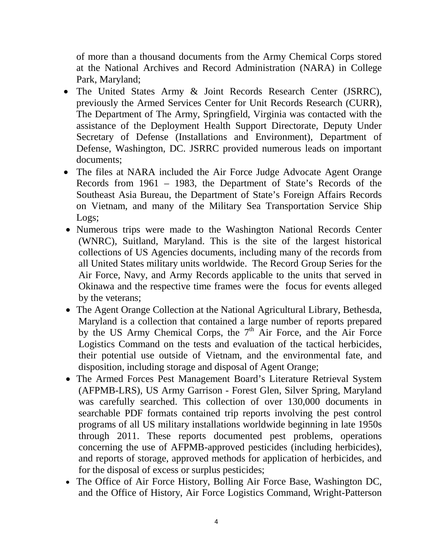of more than a thousand documents from the Army Chemical Corps stored at the National Archives and Record Administration (NARA) in College Park, Maryland;

- The United States Army & Joint Records Research Center (JSRRC), previously the Armed Services Center for Unit Records Research (CURR), The Department of The Army, Springfield, Virginia was contacted with the assistance of the Deployment Health Support Directorate, Deputy Under Secretary of Defense (Installations and Environment), Department of Defense, Washington, DC. JSRRC provided numerous leads on important documents;
- The files at NARA included the Air Force Judge Advocate Agent Orange Records from 1961 – 1983, the Department of State's Records of the Southeast Asia Bureau, the Department of State's Foreign Affairs Records on Vietnam, and many of the Military Sea Transportation Service Ship Logs;
- Numerous trips were made to the Washington National Records Center (WNRC), Suitland, Maryland. This is the site of the largest historical collections of US Agencies documents, including many of the records from all United States military units worldwide. The Record Group Series for the Air Force, Navy, and Army Records applicable to the units that served in Okinawa and the respective time frames were the focus for events alleged by the veterans;
- The Agent Orange Collection at the National Agricultural Library, Bethesda, Maryland is a collection that contained a large number of reports prepared by the US Army Chemical Corps, the  $7<sup>th</sup>$  Air Force, and the Air Force Logistics Command on the tests and evaluation of the tactical herbicides, their potential use outside of Vietnam, and the environmental fate, and disposition, including storage and disposal of Agent Orange;
- The Armed Forces Pest Management Board's Literature Retrieval System (AFPMB-LRS), US Army Garrison - Forest Glen, Silver Spring, Maryland was carefully searched. This collection of over 130,000 documents in searchable PDF formats contained trip reports involving the pest control programs of all US military installations worldwide beginning in late 1950s through 2011. These reports documented pest problems, operations concerning the use of AFPMB-approved pesticides (including herbicides), and reports of storage, approved methods for application of herbicides, and for the disposal of excess or surplus pesticides;
- The Office of Air Force History, Bolling Air Force Base, Washington DC, and the Office of History, Air Force Logistics Command, Wright-Patterson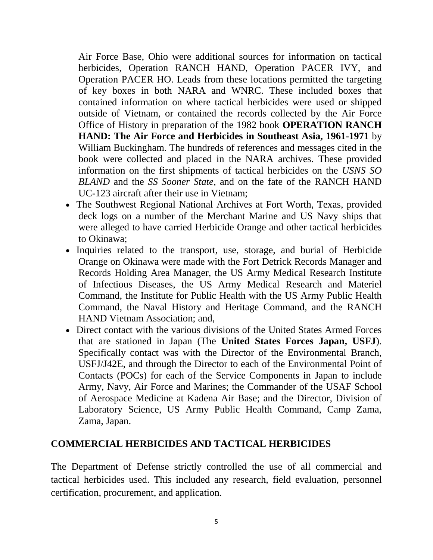Air Force Base, Ohio were additional sources for information on tactical herbicides, Operation RANCH HAND, Operation PACER IVY, and Operation PACER HO. Leads from these locations permitted the targeting of key boxes in both NARA and WNRC. These included boxes that contained information on where tactical herbicides were used or shipped outside of Vietnam, or contained the records collected by the Air Force Office of History in preparation of the 1982 book **OPERATION RANCH HAND: The Air Force and Herbicides in Southeast Asia, 1961-1971** by William Buckingham. The hundreds of references and messages cited in the book were collected and placed in the NARA archives. These provided information on the first shipments of tactical herbicides on the *USNS SO BLAND* and the *SS Sooner State*, and on the fate of the RANCH HAND UC-123 aircraft after their use in Vietnam;

- The Southwest Regional National Archives at Fort Worth, Texas, provided deck logs on a number of the Merchant Marine and US Navy ships that were alleged to have carried Herbicide Orange and other tactical herbicides to Okinawa;
- Inquiries related to the transport, use, storage, and burial of Herbicide Orange on Okinawa were made with the Fort Detrick Records Manager and Records Holding Area Manager, the US Army Medical Research Institute of Infectious Diseases, the US Army Medical Research and Materiel Command, the Institute for Public Health with the US Army Public Health Command, the Naval History and Heritage Command, and the RANCH HAND Vietnam Association; and,
- Direct contact with the various divisions of the United States Armed Forces that are stationed in Japan (The **United States Forces Japan, USFJ**). Specifically contact was with the Director of the Environmental Branch, USFJ/J42E, and through the Director to each of the Environmental Point of Contacts (POCs) for each of the Service Components in Japan to include Army, Navy, Air Force and Marines; the Commander of the USAF School of Aerospace Medicine at Kadena Air Base; and the Director, Division of Laboratory Science, US Army Public Health Command, Camp Zama, Zama, Japan.

#### **COMMERCIAL HERBICIDES AND TACTICAL HERBICIDES**

The Department of Defense strictly controlled the use of all commercial and tactical herbicides used. This included any research, field evaluation, personnel certification, procurement, and application.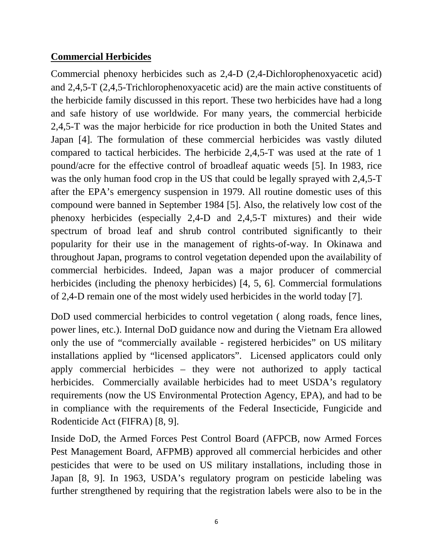## **Commercial Herbicides**

Commercial phenoxy herbicides such as 2,4-D (2,4-Dichlorophenoxyacetic acid) and 2,4,5-T (2,4,5-Trichlorophenoxyacetic acid) are the main active constituents of the herbicide family discussed in this report. These two herbicides have had a long and safe history of use worldwide. For many years, the commercial herbicide 2,4,5-T was the major herbicide for rice production in both the United States and Japan [4]. The formulation of these commercial herbicides was vastly diluted compared to tactical herbicides. The herbicide 2,4,5-T was used at the rate of 1 pound/acre for the effective control of broadleaf aquatic weeds [5]. In 1983, rice was the only human food crop in the US that could be legally sprayed with 2,4,5-T after the EPA's emergency suspension in 1979. All routine domestic uses of this compound were banned in September 1984 [5]. Also, the relatively low cost of the phenoxy herbicides (especially 2,4-D and 2,4,5-T mixtures) and their wide spectrum of broad leaf and shrub control contributed significantly to their popularity for their use in the management of rights-of-way. In Okinawa and throughout Japan, programs to control vegetation depended upon the availability of commercial herbicides. Indeed, Japan was a major producer of commercial herbicides (including the phenoxy herbicides) [4, 5, 6]. Commercial formulations of 2,4-D remain one of the most widely used herbicides in the world today [7].

DoD used commercial herbicides to control vegetation ( along roads, fence lines, power lines, etc.). Internal DoD guidance now and during the Vietnam Era allowed only the use of "commercially available - registered herbicides" on US military installations applied by "licensed applicators". Licensed applicators could only apply commercial herbicides – they were not authorized to apply tactical herbicides. Commercially available herbicides had to meet USDA's regulatory requirements (now the US Environmental Protection Agency, EPA), and had to be in compliance with the requirements of the Federal Insecticide, Fungicide and Rodenticide Act (FIFRA) [8, 9].

Inside DoD, the Armed Forces Pest Control Board (AFPCB, now Armed Forces Pest Management Board, AFPMB) approved all commercial herbicides and other pesticides that were to be used on US military installations, including those in Japan [8, 9]. In 1963, USDA's regulatory program on pesticide labeling was further strengthened by requiring that the registration labels were also to be in the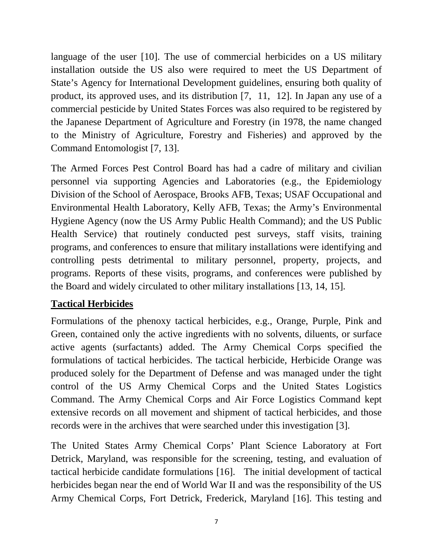language of the user [10]. The use of commercial herbicides on a US military installation outside the US also were required to meet the US Department of State's Agency for International Development guidelines, ensuring both quality of product, its approved uses, and its distribution [7, 11, 12]. In Japan any use of a commercial pesticide by United States Forces was also required to be registered by the Japanese Department of Agriculture and Forestry (in 1978, the name changed to the Ministry of Agriculture, Forestry and Fisheries) and approved by the Command Entomologist [7, 13].

The Armed Forces Pest Control Board has had a cadre of military and civilian personnel via supporting Agencies and Laboratories (e.g., the Epidemiology Division of the School of Aerospace, Brooks AFB, Texas; USAF Occupational and Environmental Health Laboratory, Kelly AFB, Texas; the Army's Environmental Hygiene Agency (now the US Army Public Health Command); and the US Public Health Service) that routinely conducted pest surveys, staff visits, training programs, and conferences to ensure that military installations were identifying and controlling pests detrimental to military personnel, property, projects, and programs. Reports of these visits, programs, and conferences were published by the Board and widely circulated to other military installations [13, 14, 15].

## **Tactical Herbicides**

Formulations of the phenoxy tactical herbicides, e.g., Orange, Purple, Pink and Green, contained only the active ingredients with no solvents, diluents, or surface active agents (surfactants) added. The Army Chemical Corps specified the formulations of tactical herbicides. The tactical herbicide, Herbicide Orange was produced solely for the Department of Defense and was managed under the tight control of the US Army Chemical Corps and the United States Logistics Command. The Army Chemical Corps and Air Force Logistics Command kept extensive records on all movement and shipment of tactical herbicides, and those records were in the archives that were searched under this investigation [3].

The United States Army Chemical Corps' Plant Science Laboratory at Fort Detrick, Maryland, was responsible for the screening, testing, and evaluation of tactical herbicide candidate formulations [16]. The initial development of tactical herbicides began near the end of World War II and was the responsibility of the US Army Chemical Corps, Fort Detrick, Frederick, Maryland [16]. This testing and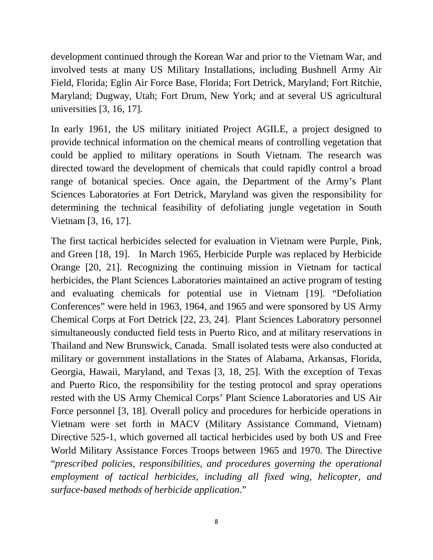development continued through the Korean War and prior to the Vietnam War, and involved tests at many US Military Installations, including Bushnell Army Air Field, Florida; Eglin Air Force Base, Florida; Fort Detrick, Maryland; Fort Ritchie, Maryland; Dugway, Utah; Fort Drum, New York; and at several US agricultural universities [3, 16, 17].

In early 1961, the US military initiated Project AGILE, a project designed to provide technical information on the chemical means of controlling vegetation that could be applied to military operations in South Vietnam. The research was directed toward the development of chemicals that could rapidly control a broad range of botanical species. Once again, the Department of the Army's Plant Sciences Laboratories at Fort Detrick, Maryland was given the responsibility for determining the technical feasibility of defoliating jungle vegetation in South Vietnam [3, 16, 17].

The first tactical herbicides selected for evaluation in Vietnam were Purple, Pink, and Green [18, 19]. In March 1965, Herbicide Purple was replaced by Herbicide Orange [20, 21]. Recognizing the continuing mission in Vietnam for tactical herbicides, the Plant Sciences Laboratories maintained an active program of testing and evaluating chemicals for potential use in Vietnam [19]. "Defoliation Conferences" were held in 1963, 1964, and 1965 and were sponsored by US Army Chemical Corps at Fort Detrick [22, 23, 24]. Plant Sciences Laboratory personnel simultaneously conducted field tests in Puerto Rico, and at military reservations in Thailand and New Brunswick, Canada. Small isolated tests were also conducted at military or government installations in the States of Alabama, Arkansas, Florida, Georgia, Hawaii, Maryland, and Texas [3, 18, 25]. With the exception of Texas and Puerto Rico, the responsibility for the testing protocol and spray operations rested with the US Army Chemical Corps' Plant Science Laboratories and US Air Force personnel [3, 18]. Overall policy and procedures for herbicide operations in Vietnam were set forth in MACV (Military Assistance Command, Vietnam) Directive 525-1, which governed all tactical herbicides used by both US and Free World Military Assistance Forces Troops between 1965 and 1970. The Directive "*prescribed policies, responsibilities, and procedures governing the operational employment of tactical herbicides, including all fixed wing, helicopter, and surface-based methods of herbicide application*."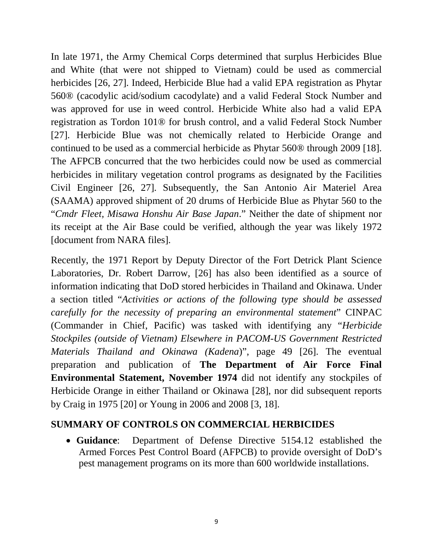In late 1971, the Army Chemical Corps determined that surplus Herbicides Blue and White (that were not shipped to Vietnam) could be used as commercial herbicides [26, 27]. Indeed, Herbicide Blue had a valid EPA registration as Phytar 560® (cacodylic acid/sodium cacodylate) and a valid Federal Stock Number and was approved for use in weed control. Herbicide White also had a valid EPA registration as Tordon 101® for brush control, and a valid Federal Stock Number [27]. Herbicide Blue was not chemically related to Herbicide Orange and continued to be used as a commercial herbicide as Phytar 560® through 2009 [18]. The AFPCB concurred that the two herbicides could now be used as commercial herbicides in military vegetation control programs as designated by the Facilities Civil Engineer [26, 27]. Subsequently, the San Antonio Air Materiel Area (SAAMA) approved shipment of 20 drums of Herbicide Blue as Phytar 560 to the "*Cmdr Fleet, Misawa Honshu Air Base Japan*." Neither the date of shipment nor its receipt at the Air Base could be verified, although the year was likely 1972 [document from NARA files].

Recently, the 1971 Report by Deputy Director of the Fort Detrick Plant Science Laboratories, Dr. Robert Darrow, [26] has also been identified as a source of information indicating that DoD stored herbicides in Thailand and Okinawa. Under a section titled "*Activities or actions of the following type should be assessed carefully for the necessity of preparing an environmental statement*" CINPAC (Commander in Chief, Pacific) was tasked with identifying any "*Herbicide Stockpiles (outside of Vietnam) Elsewhere in PACOM-US Government Restricted Materials Thailand and Okinawa (Kadena*)", page 49 [26]. The eventual preparation and publication of **The Department of Air Force Final Environmental Statement, November 1974** did not identify any stockpiles of Herbicide Orange in either Thailand or Okinawa [28], nor did subsequent reports by Craig in 1975 [20] or Young in 2006 and 2008 [3, 18].

## **SUMMARY OF CONTROLS ON COMMERCIAL HERBICIDES**

• **Guidance**: Department of Defense Directive 5154.12 established the Armed Forces Pest Control Board (AFPCB) to provide oversight of DoD's pest management programs on its more than 600 worldwide installations.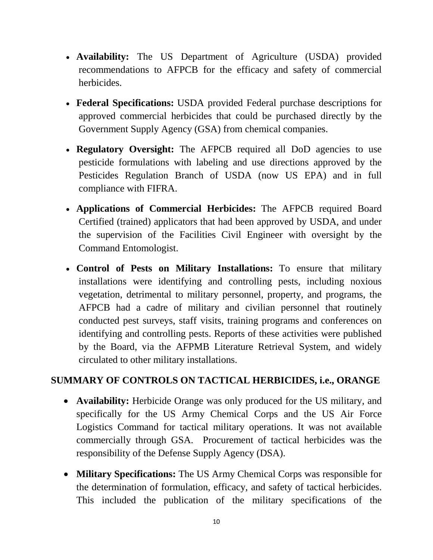- **Availability:** The US Department of Agriculture (USDA) provided recommendations to AFPCB for the efficacy and safety of commercial herbicides.
- **Federal Specifications:** USDA provided Federal purchase descriptions for approved commercial herbicides that could be purchased directly by the Government Supply Agency (GSA) from chemical companies.
- **Regulatory Oversight:** The AFPCB required all DoD agencies to use pesticide formulations with labeling and use directions approved by the Pesticides Regulation Branch of USDA (now US EPA) and in full compliance with FIFRA.
- **Applications of Commercial Herbicides:** The AFPCB required Board Certified (trained) applicators that had been approved by USDA, and under the supervision of the Facilities Civil Engineer with oversight by the Command Entomologist.
- **Control of Pests on Military Installations:** To ensure that military installations were identifying and controlling pests, including noxious vegetation, detrimental to military personnel, property, and programs, the AFPCB had a cadre of military and civilian personnel that routinely conducted pest surveys, staff visits, training programs and conferences on identifying and controlling pests. Reports of these activities were published by the Board, via the AFPMB Literature Retrieval System, and widely circulated to other military installations.

# **SUMMARY OF CONTROLS ON TACTICAL HERBICIDES, i.e., ORANGE**

- **Availability:** Herbicide Orange was only produced for the US military, and specifically for the US Army Chemical Corps and the US Air Force Logistics Command for tactical military operations. It was not available commercially through GSA. Procurement of tactical herbicides was the responsibility of the Defense Supply Agency (DSA).
- **Military Specifications:** The US Army Chemical Corps was responsible for the determination of formulation, efficacy, and safety of tactical herbicides. This included the publication of the military specifications of the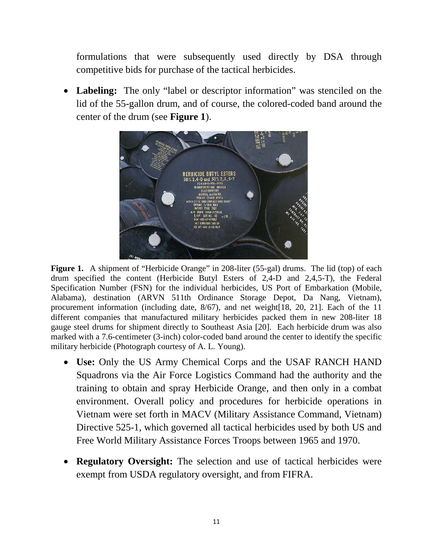formulations that were subsequently used directly by DSA through competitive bids for purchase of the tactical herbicides.

• **Labeling:** The only "label or descriptor information" was stenciled on the lid of the 55-gallon drum, and of course, the colored-coded band around the center of the drum (see **Figure 1**).



**Figure 1.** A shipment of "Herbicide Orange" in 208-liter (55-gal) drums. The lid (top) of each drum specified the content (Herbicide Butyl Esters of 2,4-D and 2,4,5-T), the Federal Specification Number (FSN) for the individual herbicides, US Port of Embarkation (Mobile, Alabama), destination (ARVN 511th Ordinance Storage Depot, Da Nang, Vietnam), procurement information (including date, 8/67), and net weight[18, 20, 21]. Each of the 11 different companies that manufactured military herbicides packed them in new 208-liter 18 gauge steel drums for shipment directly to Southeast Asia [20]. Each herbicide drum was also marked with a 7.6-centimeter (3-inch) color-coded band around the center to identify the specific military herbicide (Photograph courtesy of A. L. Young).

- **Use:** Only the US Army Chemical Corps and the USAF RANCH HAND Squadrons via the Air Force Logistics Command had the authority and the training to obtain and spray Herbicide Orange, and then only in a combat environment. Overall policy and procedures for herbicide operations in Vietnam were set forth in MACV (Military Assistance Command, Vietnam) Directive 525-1, which governed all tactical herbicides used by both US and Free World Military Assistance Forces Troops between 1965 and 1970.
- **Regulatory Oversight:** The selection and use of tactical herbicides were exempt from USDA regulatory oversight, and from FIFRA.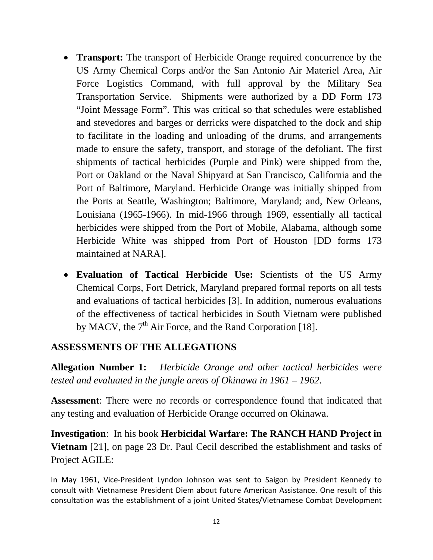- **Transport:** The transport of Herbicide Orange required concurrence by the US Army Chemical Corps and/or the San Antonio Air Materiel Area, Air Force Logistics Command, with full approval by the Military Sea Transportation Service. Shipments were authorized by a DD Form 173 "Joint Message Form". This was critical so that schedules were established and stevedores and barges or derricks were dispatched to the dock and ship to facilitate in the loading and unloading of the drums, and arrangements made to ensure the safety, transport, and storage of the defoliant. The first shipments of tactical herbicides (Purple and Pink) were shipped from the, Port or Oakland or the Naval Shipyard at San Francisco, California and the Port of Baltimore, Maryland. Herbicide Orange was initially shipped from the Ports at Seattle, Washington; Baltimore, Maryland; and, New Orleans, Louisiana (1965-1966). In mid-1966 through 1969, essentially all tactical herbicides were shipped from the Port of Mobile, Alabama, although some Herbicide White was shipped from Port of Houston [DD forms 173 maintained at NARA].
- **Evaluation of Tactical Herbicide Use:** Scientists of the US Army Chemical Corps, Fort Detrick, Maryland prepared formal reports on all tests and evaluations of tactical herbicides [3]. In addition, numerous evaluations of the effectiveness of tactical herbicides in South Vietnam were published by MACV, the  $7<sup>th</sup>$  Air Force, and the Rand Corporation [18].

## **ASSESSMENTS OF THE ALLEGATIONS**

**Allegation Number 1:** *Herbicide Orange and other tactical herbicides were tested and evaluated in the jungle areas of Okinawa in 1961 – 1962*.

**Assessment**: There were no records or correspondence found that indicated that any testing and evaluation of Herbicide Orange occurred on Okinawa.

**Investigation**: In his book **Herbicidal Warfare: The RANCH HAND Project in Vietnam** [21], on page 23 Dr. Paul Cecil described the establishment and tasks of Project AGILE:

In May 1961, Vice-President Lyndon Johnson was sent to Saigon by President Kennedy to consult with Vietnamese President Diem about future American Assistance. One result of this consultation was the establishment of a joint United States/Vietnamese Combat Development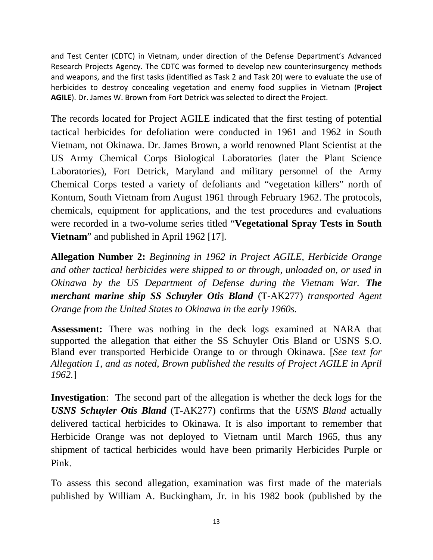and Test Center (CDTC) in Vietnam, under direction of the Defense Department's Advanced Research Projects Agency. The CDTC was formed to develop new counterinsurgency methods and weapons, and the first tasks (identified as Task 2 and Task 20) were to evaluate the use of herbicides to destroy concealing vegetation and enemy food supplies in Vietnam (**Project AGILE**). Dr. James W. Brown from Fort Detrick was selected to direct the Project.

The records located for Project AGILE indicated that the first testing of potential tactical herbicides for defoliation were conducted in 1961 and 1962 in South Vietnam, not Okinawa. Dr. James Brown, a world renowned Plant Scientist at the US Army Chemical Corps Biological Laboratories (later the Plant Science Laboratories), Fort Detrick, Maryland and military personnel of the Army Chemical Corps tested a variety of defoliants and "vegetation killers" north of Kontum, South Vietnam from August 1961 through February 1962. The protocols, chemicals, equipment for applications, and the test procedures and evaluations were recorded in a two-volume series titled "**Vegetational Spray Tests in South Vietnam**" and published in April 1962 [17].

**Allegation Number 2:** *Beginning in 1962 in Project AGILE, Herbicide Orange and other tactical herbicides were shipped to or through, unloaded on, or used in Okinawa by the US Department of Defense during the Vietnam War. The merchant marine ship SS Schuyler Otis Bland* (T-AK277) *transported Agent Orange from the United States to Okinawa in the early 1960s.*

**Assessment:** There was nothing in the deck logs examined at NARA that supported the allegation that either the SS Schuyler Otis Bland or USNS S.O. Bland ever transported Herbicide Orange to or through Okinawa. [*See text for Allegation 1, and as noted, Brown published the results of Project AGILE in April 1962.*]

**Investigation**: The second part of the allegation is whether the deck logs for the *USNS Schuyler Otis Bland* (T-AK277) confirms that the *USNS Bland* actually delivered tactical herbicides to Okinawa. It is also important to remember that Herbicide Orange was not deployed to Vietnam until March 1965, thus any shipment of tactical herbicides would have been primarily Herbicides Purple or Pink.

To assess this second allegation, examination was first made of the materials published by William A. Buckingham, Jr. in his 1982 book (published by the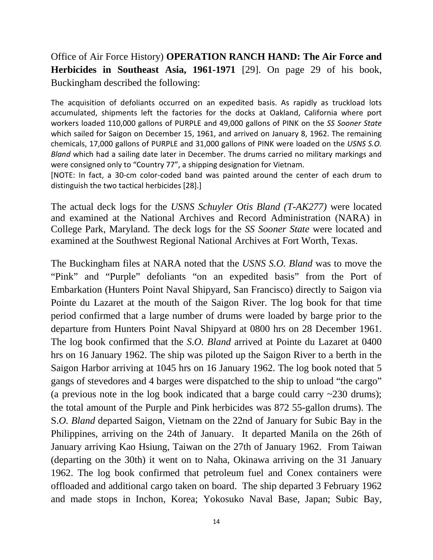# Office of Air Force History) **OPERATION RANCH HAND: The Air Force and Herbicides in Southeast Asia, 1961-1971** [29]. On page 29 of his book, Buckingham described the following:

The acquisition of defoliants occurred on an expedited basis. As rapidly as truckload lots accumulated, shipments left the factories for the docks at Oakland, California where port workers loaded 110,000 gallons of PURPLE and 49,000 gallons of PINK on the *SS Sooner State* which sailed for Saigon on December 15, 1961, and arrived on January 8, 1962. The remaining chemicals, 17,000 gallons of PURPLE and 31,000 gallons of PINK were loaded on the *USNS S.O. Bland* which had a sailing date later in December. The drums carried no military markings and were consigned only to "Country 77", a shipping designation for Vietnam.

[NOTE: In fact, a 30-cm color-coded band was painted around the center of each drum to distinguish the two tactical herbicides [28].]

The actual deck logs for the *USNS Schuyler Otis Bland (T-AK277)* were located and examined at the National Archives and Record Administration (NARA) in College Park, Maryland. The deck logs for the *SS Sooner State* were located and examined at the Southwest Regional National Archives at Fort Worth, Texas.

The Buckingham files at NARA noted that the *USNS S.O. Bland* was to move the "Pink" and "Purple" defoliants "on an expedited basis" from the Port of Embarkation (Hunters Point Naval Shipyard, San Francisco) directly to Saigon via Pointe du Lazaret at the mouth of the Saigon River. The log book for that time period confirmed that a large number of drums were loaded by barge prior to the departure from Hunters Point Naval Shipyard at 0800 hrs on 28 December 1961. The log book confirmed that the *S.O. Bland* arrived at Pointe du Lazaret at 0400 hrs on 16 January 1962. The ship was piloted up the Saigon River to a berth in the Saigon Harbor arriving at 1045 hrs on 16 January 1962. The log book noted that 5 gangs of stevedores and 4 barges were dispatched to the ship to unload "the cargo" (a previous note in the log book indicated that a barge could carry ~230 drums); the total amount of the Purple and Pink herbicides was 872 55-gallon drums). The S.*O. Bland* departed Saigon, Vietnam on the 22nd of January for Subic Bay in the Philippines, arriving on the 24th of January. It departed Manila on the 26th of January arriving Kao Hsiung, Taiwan on the 27th of January 1962. From Taiwan (departing on the 30th) it went on to Naha, Okinawa arriving on the 31 January 1962. The log book confirmed that petroleum fuel and Conex containers were offloaded and additional cargo taken on board. The ship departed 3 February 1962 and made stops in Inchon, Korea; Yokosuko Naval Base, Japan; Subic Bay,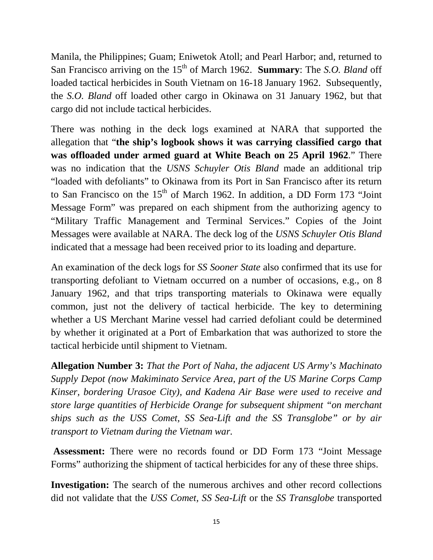Manila, the Philippines; Guam; Eniwetok Atoll; and Pearl Harbor; and, returned to San Francisco arriving on the 15<sup>th</sup> of March 1962. **Summary**: The *S.O. Bland* off loaded tactical herbicides in South Vietnam on 16-18 January 1962. Subsequently, the *S.O. Bland* off loaded other cargo in Okinawa on 31 January 1962, but that cargo did not include tactical herbicides.

There was nothing in the deck logs examined at NARA that supported the allegation that "**the ship's logbook shows it was carrying classified cargo that was offloaded under armed guard at White Beach on 25 April 1962**." There was no indication that the *USNS Schuyler Otis Bland* made an additional trip "loaded with defoliants" to Okinawa from its Port in San Francisco after its return to San Francisco on the  $15<sup>th</sup>$  of March 1962. In addition, a DD Form 173 "Joint Message Form" was prepared on each shipment from the authorizing agency to "Military Traffic Management and Terminal Services." Copies of the Joint Messages were available at NARA. The deck log of the *USNS Schuyler Otis Bland* indicated that a message had been received prior to its loading and departure.

An examination of the deck logs for *SS Sooner State* also confirmed that its use for transporting defoliant to Vietnam occurred on a number of occasions, e.g., on 8 January 1962, and that trips transporting materials to Okinawa were equally common, just not the delivery of tactical herbicide. The key to determining whether a US Merchant Marine vessel had carried defoliant could be determined by whether it originated at a Port of Embarkation that was authorized to store the tactical herbicide until shipment to Vietnam.

**Allegation Number 3:** *That the Port of Naha, the adjacent US Army's Machinato Supply Depot (now Makiminato Service Area, part of the US Marine Corps Camp Kinser, bordering Urasoe City), and Kadena Air Base were used to receive and store large quantities of Herbicide Orange for subsequent shipment "on merchant ships such as the USS Comet, SS Sea-Lift and the SS Transglobe" or by air transport to Vietnam during the Vietnam war.*

**Assessment:** There were no records found or DD Form 173 "Joint Message Forms" authorizing the shipment of tactical herbicides for any of these three ships.

**Investigation:** The search of the numerous archives and other record collections did not validate that the *USS Comet, SS Sea-Lift* or the *SS Transglobe* transported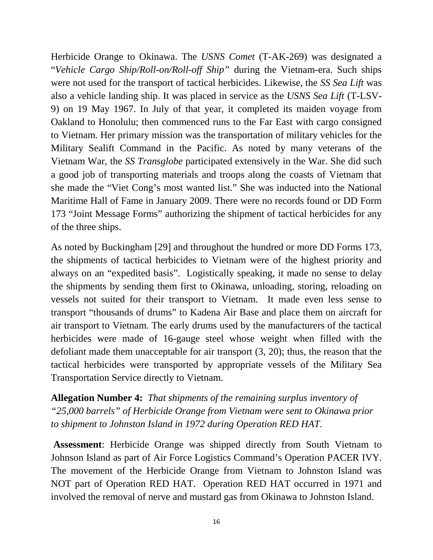Herbicide Orange to Okinawa. The *USNS Comet* (T-AK-269) was designated a "*Vehicle Cargo Ship/Roll-on/Roll-off Ship"* during the Vietnam-era. Such ships were not used for the transport of tactical herbicides. Likewise, the *SS Sea Lift* was also a vehicle landing ship. It was placed in service as the *USNS Sea Lift* (T-LSV-9) on 19 May 1967. In July of that year, it completed its maiden voyage from Oakland to Honolulu; then commenced runs to the Far East with cargo consigned to Vietnam. Her primary mission was the transportation of military vehicles for the Military Sealift Command in the Pacific. As noted by many veterans of the Vietnam War, the *SS Transglobe* participated extensively in the War. She did such a good job of transporting materials and troops along the coasts of Vietnam that she made the "Viet Cong's most wanted list." She was inducted into the National Maritime Hall of Fame in January 2009. There were no records found or DD Form 173 "Joint Message Forms" authorizing the shipment of tactical herbicides for any of the three ships.

As noted by Buckingham [29] and throughout the hundred or more DD Forms 173, the shipments of tactical herbicides to Vietnam were of the highest priority and always on an "expedited basis". Logistically speaking, it made no sense to delay the shipments by sending them first to Okinawa, unloading, storing, reloading on vessels not suited for their transport to Vietnam. It made even less sense to transport "thousands of drums" to Kadena Air Base and place them on aircraft for air transport to Vietnam. The early drums used by the manufacturers of the tactical herbicides were made of 16-gauge steel whose weight when filled with the defoliant made them unacceptable for air transport (3, 20); thus, the reason that the tactical herbicides were transported by appropriate vessels of the Military Sea Transportation Service directly to Vietnam.

**Allegation Number 4:** *That shipments of the remaining surplus inventory of "25,000 barrels" of Herbicide Orange from Vietnam were sent to Okinawa prior to shipment to Johnston Island in 1972 during Operation RED HAT*.

**Assessment**: Herbicide Orange was shipped directly from South Vietnam to Johnson Island as part of Air Force Logistics Command's Operation PACER IVY. The movement of the Herbicide Orange from Vietnam to Johnston Island was NOT part of Operation RED HAT. Operation RED HAT occurred in 1971 and involved the removal of nerve and mustard gas from Okinawa to Johnston Island.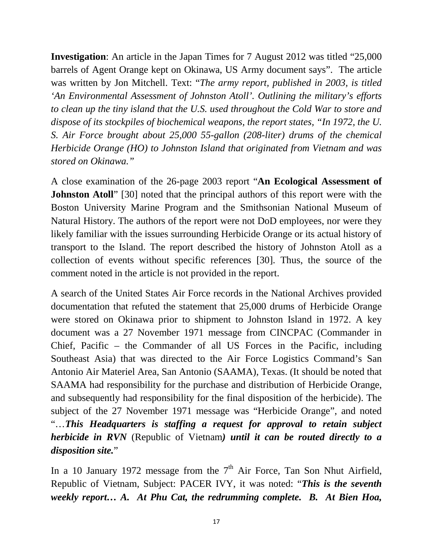**Investigation**: An article in the Japan Times for 7 August 2012 was titled "25,000 barrels of Agent Orange kept on Okinawa, US Army document says". The article was written by Jon Mitchell. Text: "*The army report, published in 2003, is titled 'An Environmental Assessment of Johnston Atoll'. Outlining the military's efforts to clean up the tiny island that the U.S. used throughout the Cold War to store and dispose of its stockpiles of biochemical weapons, the report states, "In 1972, the U. S. Air Force brought about 25,000 55-gallon (208-liter) drums of the chemical Herbicide Orange (HO) to Johnston Island that originated from Vietnam and was stored on Okinawa."*

A close examination of the 26-page 2003 report "**An Ecological Assessment of Johnston Atoll**" [30] noted that the principal authors of this report were with the Boston University Marine Program and the Smithsonian National Museum of Natural History. The authors of the report were not DoD employees, nor were they likely familiar with the issues surrounding Herbicide Orange or its actual history of transport to the Island. The report described the history of Johnston Atoll as a collection of events without specific references [30]. Thus, the source of the comment noted in the article is not provided in the report.

A search of the United States Air Force records in the National Archives provided documentation that refuted the statement that 25,000 drums of Herbicide Orange were stored on Okinawa prior to shipment to Johnston Island in 1972. A key document was a 27 November 1971 message from CINCPAC (Commander in Chief, Pacific – the Commander of all US Forces in the Pacific, including Southeast Asia) that was directed to the Air Force Logistics Command's San Antonio Air Materiel Area, San Antonio (SAAMA), Texas. (It should be noted that SAAMA had responsibility for the purchase and distribution of Herbicide Orange, and subsequently had responsibility for the final disposition of the herbicide). The subject of the 27 November 1971 message was "Herbicide Orange", and noted "…*This Headquarters is staffing a request for approval to retain subject herbicide in RVN* (Republic of Vietnam*) until it can be routed directly to a disposition site.*"

In a 10 January 1972 message from the  $7<sup>th</sup>$  Air Force, Tan Son Nhut Airfield, Republic of Vietnam, Subject: PACER IVY, it was noted: "*This is the seventh weekly report… A. At Phu Cat, the redrumming complete. B. At Bien Hoa,*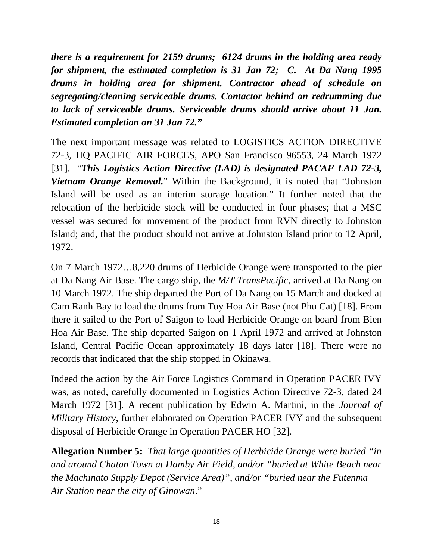*there is a requirement for 2159 drums; 6124 drums in the holding area ready for shipment, the estimated completion is 31 Jan 72; C. At Da Nang 1995 drums in holding area for shipment. Contractor ahead of schedule on segregating/cleaning serviceable drums. Contactor behind on redrumming due to lack of serviceable drums. Serviceable drums should arrive about 11 Jan. Estimated completion on 31 Jan 72."*

The next important message was related to LOGISTICS ACTION DIRECTIVE 72-3, HQ PACIFIC AIR FORCES, APO San Francisco 96553, 24 March 1972 [31]. "*This Logistics Action Directive (LAD) is designated PACAF LAD 72-3, Vietnam Orange Removal.*" Within the Background, it is noted that "Johnston Island will be used as an interim storage location." It further noted that the relocation of the herbicide stock will be conducted in four phases; that a MSC vessel was secured for movement of the product from RVN directly to Johnston Island; and, that the product should not arrive at Johnston Island prior to 12 April, 1972.

On 7 March 1972…8,220 drums of Herbicide Orange were transported to the pier at Da Nang Air Base. The cargo ship, the *M/T TransPacific*, arrived at Da Nang on 10 March 1972. The ship departed the Port of Da Nang on 15 March and docked at Cam Ranh Bay to load the drums from Tuy Hoa Air Base (not Phu Cat) [18]. From there it sailed to the Port of Saigon to load Herbicide Orange on board from Bien Hoa Air Base. The ship departed Saigon on 1 April 1972 and arrived at Johnston Island, Central Pacific Ocean approximately 18 days later [18]. There were no records that indicated that the ship stopped in Okinawa.

Indeed the action by the Air Force Logistics Command in Operation PACER IVY was, as noted, carefully documented in Logistics Action Directive 72-3, dated 24 March 1972 [31]. A recent publication by Edwin A. Martini, in the *Journal of Military History*, further elaborated on Operation PACER IVY and the subsequent disposal of Herbicide Orange in Operation PACER HO [32].

**Allegation Number 5:** *That large quantities of Herbicide Orange were buried "in and around Chatan Town at Hamby Air Field, and/or "buried at White Beach near the Machinato Supply Depot (Service Area)", and/or "buried near the Futenma Air Station near the city of Ginowan*."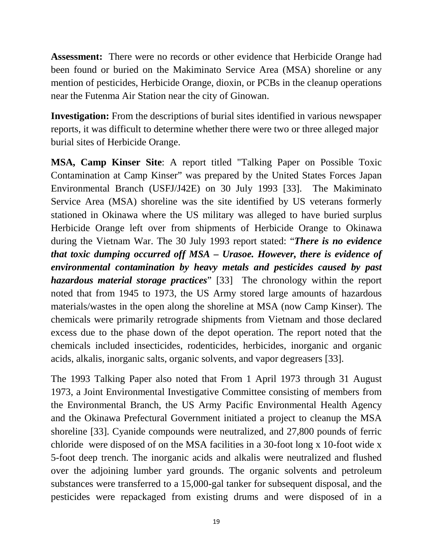**Assessment:** There were no records or other evidence that Herbicide Orange had been found or buried on the Makiminato Service Area (MSA) shoreline or any mention of pesticides, Herbicide Orange, dioxin, or PCBs in the cleanup operations near the Futenma Air Station near the city of Ginowan.

**Investigation:** From the descriptions of burial sites identified in various newspaper reports, it was difficult to determine whether there were two or three alleged major burial sites of Herbicide Orange.

**MSA, Camp Kinser Site**: A report titled "Talking Paper on Possible Toxic Contamination at Camp Kinser" was prepared by the United States Forces Japan Environmental Branch (USFJ/J42E) on 30 July 1993 [33]. The Makiminato Service Area (MSA) shoreline was the site identified by US veterans formerly stationed in Okinawa where the US military was alleged to have buried surplus Herbicide Orange left over from shipments of Herbicide Orange to Okinawa during the Vietnam War. The 30 July 1993 report stated: "*There is no evidence that toxic dumping occurred off MSA – Urasoe. However, there is evidence of environmental contamination by heavy metals and pesticides caused by past hazardous material storage practices*" [33] The chronology within the report noted that from 1945 to 1973, the US Army stored large amounts of hazardous materials/wastes in the open along the shoreline at MSA (now Camp Kinser). The chemicals were primarily retrograde shipments from Vietnam and those declared excess due to the phase down of the depot operation. The report noted that the chemicals included insecticides, rodenticides, herbicides, inorganic and organic acids, alkalis, inorganic salts, organic solvents, and vapor degreasers [33].

The 1993 Talking Paper also noted that From 1 April 1973 through 31 August 1973, a Joint Environmental Investigative Committee consisting of members from the Environmental Branch, the US Army Pacific Environmental Health Agency and the Okinawa Prefectural Government initiated a project to cleanup the MSA shoreline [33]. Cyanide compounds were neutralized, and 27,800 pounds of ferric chloride were disposed of on the MSA facilities in a 30-foot long x 10-foot wide x 5-foot deep trench. The inorganic acids and alkalis were neutralized and flushed over the adjoining lumber yard grounds. The organic solvents and petroleum substances were transferred to a 15,000-gal tanker for subsequent disposal, and the pesticides were repackaged from existing drums and were disposed of in a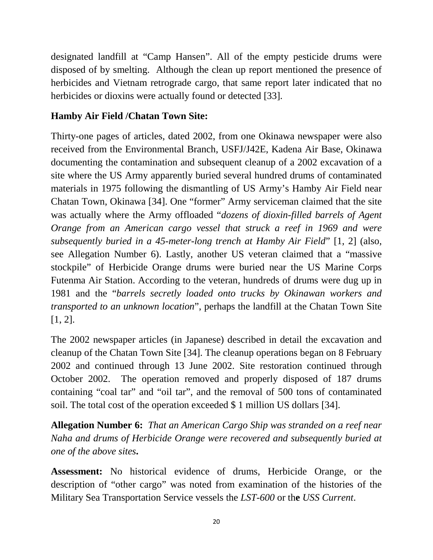designated landfill at "Camp Hansen". All of the empty pesticide drums were disposed of by smelting. Although the clean up report mentioned the presence of herbicides and Vietnam retrograde cargo, that same report later indicated that no herbicides or dioxins were actually found or detected [33].

# **Hamby Air Field /Chatan Town Site:**

Thirty-one pages of articles, dated 2002, from one Okinawa newspaper were also received from the Environmental Branch, USFJ/J42E, Kadena Air Base, Okinawa documenting the contamination and subsequent cleanup of a 2002 excavation of a site where the US Army apparently buried several hundred drums of contaminated materials in 1975 following the dismantling of US Army's Hamby Air Field near Chatan Town, Okinawa [34]. One "former" Army serviceman claimed that the site was actually where the Army offloaded "*dozens of dioxin-filled barrels of Agent Orange from an American cargo vessel that struck a reef in 1969 and were subsequently buried in a 45-meter-long trench at Hamby Air Field*" [1, 2] (also, see Allegation Number 6). Lastly, another US veteran claimed that a "massive stockpile" of Herbicide Orange drums were buried near the US Marine Corps Futenma Air Station. According to the veteran, hundreds of drums were dug up in 1981 and the "*barrels secretly loaded onto trucks by Okinawan workers and transported to an unknown location*", perhaps the landfill at the Chatan Town Site [1, 2].

The 2002 newspaper articles (in Japanese) described in detail the excavation and cleanup of the Chatan Town Site [34]. The cleanup operations began on 8 February 2002 and continued through 13 June 2002. Site restoration continued through October 2002. The operation removed and properly disposed of 187 drums containing "coal tar" and "oil tar", and the removal of 500 tons of contaminated soil. The total cost of the operation exceeded \$ 1 million US dollars [34].

**Allegation Number 6:** *That an American Cargo Ship was stranded on a reef near Naha and drums of Herbicide Orange were recovered and subsequently buried at one of the above sites***.** 

**Assessment:** No historical evidence of drums, Herbicide Orange, or the description of "other cargo" was noted from examination of the histories of the Military Sea Transportation Service vessels the *LST-600* or th**e** *USS Current*.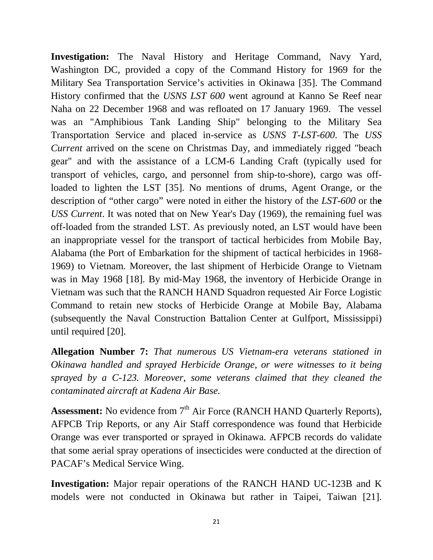**Investigation:** The Naval History and Heritage Command, Navy Yard, Washington DC, provided a copy of the Command History for 1969 for the Military Sea Transportation Service's activities in Okinawa [35]. The Command History confirmed that the *USNS LST 600* went aground at Kanno Se Reef near Naha on 22 December 1968 and was refloated on 17 January 1969. The vessel was an "Amphibious Tank Landing Ship" belonging to the Military Sea Transportation Service and placed in-service as *USNS T-LST-600*. The *USS Current* arrived on the scene on Christmas Day, and immediately rigged "beach" gear" and with the assistance of a LCM-6 Landing Craft (typically used for transport of vehicles, cargo, and personnel from ship-to-shore), cargo was offloaded to lighten the LST [35]. No mentions of drums, Agent Orange, or the description of "other cargo" were noted in either the history of the *LST-600* or th**e**  *USS Current*. It was noted that on New Year's Day (1969), the remaining fuel was off-loaded from the stranded LST. As previously noted, an LST would have been an inappropriate vessel for the transport of tactical herbicides from Mobile Bay, Alabama (the Port of Embarkation for the shipment of tactical herbicides in 1968- 1969) to Vietnam. Moreover, the last shipment of Herbicide Orange to Vietnam was in May 1968 [18]. By mid-May 1968, the inventory of Herbicide Orange in Vietnam was such that the RANCH HAND Squadron requested Air Force Logistic Command to retain new stocks of Herbicide Orange at Mobile Bay, Alabama (subsequently the Naval Construction Battalion Center at Gulfport, Mississippi) until required [20].

**Allegation Number 7:** *That numerous US Vietnam-era veterans stationed in Okinawa handled and sprayed Herbicide Orange, or were witnesses to it being sprayed by a C-123. Moreover, some veterans claimed that they cleaned the contaminated aircraft at Kadena Air Base.*

**Assessment:** No evidence from 7<sup>th</sup> Air Force (RANCH HAND Quarterly Reports), AFPCB Trip Reports, or any Air Staff correspondence was found that Herbicide Orange was ever transported or sprayed in Okinawa. AFPCB records do validate that some aerial spray operations of insecticides were conducted at the direction of PACAF's Medical Service Wing.

**Investigation:** Major repair operations of the RANCH HAND UC-123B and K models were not conducted in Okinawa but rather in Taipei, Taiwan [21].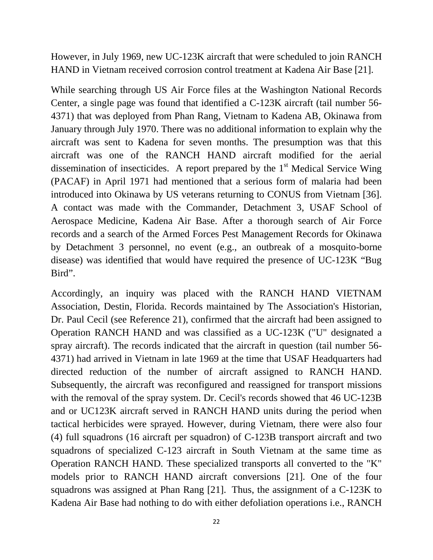However, in July 1969, new UC-123K aircraft that were scheduled to join RANCH HAND in Vietnam received corrosion control treatment at Kadena Air Base [21].

While searching through US Air Force files at the Washington National Records Center, a single page was found that identified a C-123K aircraft (tail number 56- 4371) that was deployed from Phan Rang, Vietnam to Kadena AB, Okinawa from January through July 1970. There was no additional information to explain why the aircraft was sent to Kadena for seven months. The presumption was that this aircraft was one of the RANCH HAND aircraft modified for the aerial dissemination of insecticides. A report prepared by the  $1<sup>st</sup>$  Medical Service Wing (PACAF) in April 1971 had mentioned that a serious form of malaria had been introduced into Okinawa by US veterans returning to CONUS from Vietnam [36]. A contact was made with the Commander, Detachment 3, USAF School of Aerospace Medicine, Kadena Air Base. After a thorough search of Air Force records and a search of the Armed Forces Pest Management Records for Okinawa by Detachment 3 personnel, no event (e.g., an outbreak of a mosquito-borne disease) was identified that would have required the presence of UC-123K "Bug Bird".

Accordingly, an inquiry was placed with the RANCH HAND VIETNAM Association, Destin, Florida. Records maintained by The Association's Historian, Dr. Paul Cecil (see Reference 21), confirmed that the aircraft had been assigned to Operation RANCH HAND and was classified as a UC-123K ("U" designated a spray aircraft). The records indicated that the aircraft in question (tail number 56- 4371) had arrived in Vietnam in late 1969 at the time that USAF Headquarters had directed reduction of the number of aircraft assigned to RANCH HAND. Subsequently, the aircraft was reconfigured and reassigned for transport missions with the removal of the spray system. Dr. Cecil's records showed that 46 UC-123B and or UC123K aircraft served in RANCH HAND units during the period when tactical herbicides were sprayed. However, during Vietnam, there were also four (4) full squadrons (16 aircraft per squadron) of C-123B transport aircraft and two squadrons of specialized C-123 aircraft in South Vietnam at the same time as Operation RANCH HAND. These specialized transports all converted to the "K" models prior to RANCH HAND aircraft conversions [21]. One of the four squadrons was assigned at Phan Rang [21]. Thus, the assignment of a C-123K to Kadena Air Base had nothing to do with either defoliation operations i.e., RANCH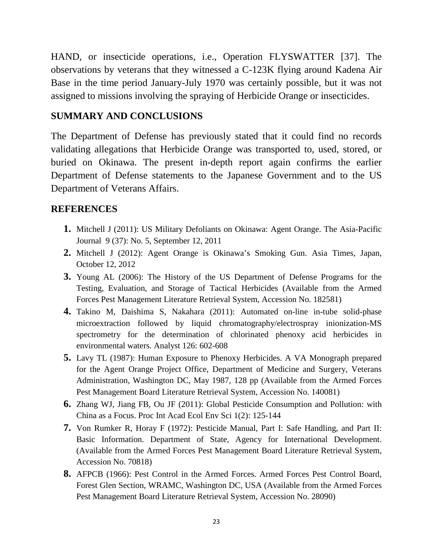HAND, or insecticide operations, i.e., Operation FLYSWATTER [37]. The observations by veterans that they witnessed a C-123K flying around Kadena Air Base in the time period January-July 1970 was certainly possible, but it was not assigned to missions involving the spraying of Herbicide Orange or insecticides.

#### **SUMMARY AND CONCLUSIONS**

The Department of Defense has previously stated that it could find no records validating allegations that Herbicide Orange was transported to, used, stored, or buried on Okinawa. The present in-depth report again confirms the earlier Department of Defense statements to the Japanese Government and to the US Department of Veterans Affairs.

#### **REFERENCES**

- **1.** Mitchell J (2011): US Military Defoliants on Okinawa: Agent Orange. The Asia-Pacific Journal 9 (37): No. 5, September 12, 2011
- **2.** Mitchell J (2012): Agent Orange is Okinawa's Smoking Gun. Asia Times, Japan, October 12, 2012
- **3.** Young AL (2006): The History of the US Department of Defense Programs for the Testing, Evaluation, and Storage of Tactical Herbicides (Available from the Armed Forces Pest Management Literature Retrieval System, Accession No. 182581)
- **4.** Takino M, Daishima S, Nakahara (2011): Automated on-line in-tube solid-phase microextraction followed by liquid chromatography/electrospray inionization-MS spectrometry for the determination of chlorinated phenoxy acid herbicides in environmental waters. Analyst 126: 602-608
- **5.** Lavy TL (1987): Human Exposure to Phenoxy Herbicides. A VA Monograph prepared for the Agent Orange Project Office, Department of Medicine and Surgery, Veterans Administration, Washington DC, May 1987, 128 pp (Available from the Armed Forces Pest Management Board Literature Retrieval System, Accession No. 140081)
- **6.** Zhang WJ, Jiang FB, Ou JF (2011): Global Pesticide Consumption and Pollution: with China as a Focus. Proc Int Acad Ecol Env Sci 1(2): 125-144
- **7.** Von Rumker R, Horay F (1972): Pesticide Manual, Part I: Safe Handling, and Part II: Basic Information. Department of State, Agency for International Development. (Available from the Armed Forces Pest Management Board Literature Retrieval System, Accession No. 70818)
- **8.** AFPCB (1966): Pest Control in the Armed Forces. Armed Forces Pest Control Board, Forest Glen Section, WRAMC, Washington DC, USA (Available from the Armed Forces Pest Management Board Literature Retrieval System, Accession No. 28090)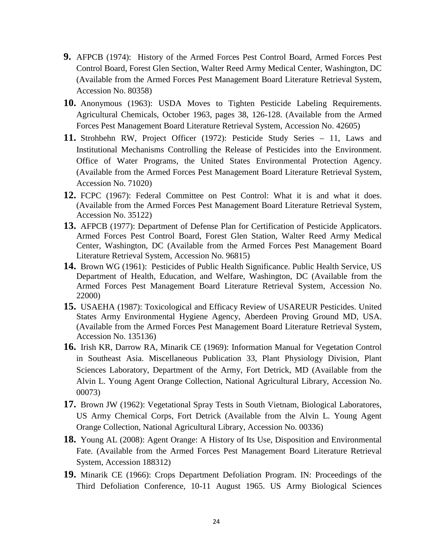- **9.** AFPCB (1974): History of the Armed Forces Pest Control Board, Armed Forces Pest Control Board, Forest Glen Section, Walter Reed Army Medical Center, Washington, DC (Available from the Armed Forces Pest Management Board Literature Retrieval System, Accession No. 80358)
- **10.** Anonymous (1963): USDA Moves to Tighten Pesticide Labeling Requirements. Agricultural Chemicals, October 1963, pages 38, 126-128. (Available from the Armed Forces Pest Management Board Literature Retrieval System, Accession No. 42605)
- **11.** Strohbehn RW, Project Officer (1972): Pesticide Study Series 11, Laws and Institutional Mechanisms Controlling the Release of Pesticides into the Environment. Office of Water Programs, the United States Environmental Protection Agency. (Available from the Armed Forces Pest Management Board Literature Retrieval System, Accession No. 71020)
- **12.** FCPC (1967): Federal Committee on Pest Control: What it is and what it does. (Available from the Armed Forces Pest Management Board Literature Retrieval System, Accession No. 35122)
- **13.** AFPCB (1977): Department of Defense Plan for Certification of Pesticide Applicators. Armed Forces Pest Control Board, Forest Glen Station, Walter Reed Army Medical Center, Washington, DC (Available from the Armed Forces Pest Management Board Literature Retrieval System, Accession No. 96815)
- **14.** Brown WG (1961): Pesticides of Public Health Significance. Public Health Service, US Department of Health, Education, and Welfare, Washington, DC (Available from the Armed Forces Pest Management Board Literature Retrieval System, Accession No. 22000)
- **15.** USAEHA (1987): Toxicological and Efficacy Review of USAREUR Pesticides. United States Army Environmental Hygiene Agency, Aberdeen Proving Ground MD, USA. (Available from the Armed Forces Pest Management Board Literature Retrieval System, Accession No. 135136)
- **16.** Irish KR, Darrow RA, Minarik CE (1969): Information Manual for Vegetation Control in Southeast Asia. Miscellaneous Publication 33, Plant Physiology Division, Plant Sciences Laboratory, Department of the Army, Fort Detrick, MD (Available from the Alvin L. Young Agent Orange Collection, National Agricultural Library, Accession No. 00073)
- **17.** Brown JW (1962): Vegetational Spray Tests in South Vietnam, Biological Laboratores, US Army Chemical Corps, Fort Detrick (Available from the Alvin L. Young Agent Orange Collection, National Agricultural Library, Accession No. 00336)
- **18.** Young AL (2008): Agent Orange: A History of Its Use, Disposition and Environmental Fate. (Available from the Armed Forces Pest Management Board Literature Retrieval System, Accession 188312)
- **19.** Minarik CE (1966): Crops Department Defoliation Program. IN: Proceedings of the Third Defoliation Conference, 10-11 August 1965. US Army Biological Sciences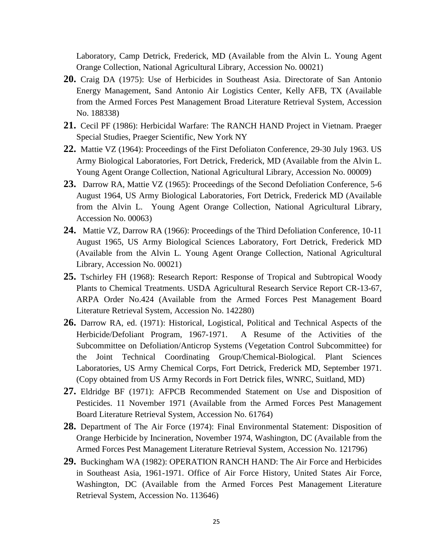Laboratory, Camp Detrick, Frederick, MD (Available from the Alvin L. Young Agent Orange Collection, National Agricultural Library, Accession No. 00021)

- **20.** Craig DA (1975): Use of Herbicides in Southeast Asia. Directorate of San Antonio Energy Management, Sand Antonio Air Logistics Center, Kelly AFB, TX (Available from the Armed Forces Pest Management Broad Literature Retrieval System, Accession No. 188338)
- **21.** Cecil PF (1986): Herbicidal Warfare: The RANCH HAND Project in Vietnam. Praeger Special Studies, Praeger Scientific, New York NY
- **22.** Mattie VZ (1964): Proceedings of the First Defoliaton Conference, 29-30 July 1963. US Army Biological Laboratories, Fort Detrick, Frederick, MD (Available from the Alvin L. Young Agent Orange Collection, National Agricultural Library, Accession No. 00009)
- **23.** Darrow RA, Mattie VZ (1965): Proceedings of the Second Defoliation Conference, 5-6 August 1964, US Army Biological Laboratories, Fort Detrick, Frederick MD (Available from the Alvin L. Young Agent Orange Collection, National Agricultural Library, Accession No. 00063)
- **24.** Mattie VZ, Darrow RA (1966): Proceedings of the Third Defoliation Conference, 10-11 August 1965, US Army Biological Sciences Laboratory, Fort Detrick, Frederick MD (Available from the Alvin L. Young Agent Orange Collection, National Agricultural Library, Accession No. 00021)
- **25.** Tschirley FH (1968): Research Report: Response of Tropical and Subtropical Woody Plants to Chemical Treatments. USDA Agricultural Research Service Report CR-13-67, ARPA Order No.424 (Available from the Armed Forces Pest Management Board Literature Retrieval System, Accession No. 142280)
- **26.** Darrow RA, ed. (1971): Historical, Logistical, Political and Technical Aspects of the Herbicide/Defoliant Program, 1967-1971. A Resume of the Activities of the Subcommittee on Defoliation/Anticrop Systems (Vegetation Control Subcommittee) for the Joint Technical Coordinating Group/Chemical-Biological. Plant Sciences Laboratories, US Army Chemical Corps, Fort Detrick, Frederick MD, September 1971. (Copy obtained from US Army Records in Fort Detrick files, WNRC, Suitland, MD)
- **27.** Eldridge BF (1971): AFPCB Recommended Statement on Use and Disposition of Pesticides. 11 November 1971 (Available from the Armed Forces Pest Management Board Literature Retrieval System, Accession No. 61764)
- **28.** Department of The Air Force (1974): Final Environmental Statement: Disposition of Orange Herbicide by Incineration, November 1974, Washington, DC (Available from the Armed Forces Pest Management Literature Retrieval System, Accession No. 121796)
- **29.** Buckingham WA (1982): OPERATION RANCH HAND: The Air Force and Herbicides in Southeast Asia, 1961-1971. Office of Air Force History, United States Air Force, Washington, DC (Available from the Armed Forces Pest Management Literature Retrieval System, Accession No. 113646)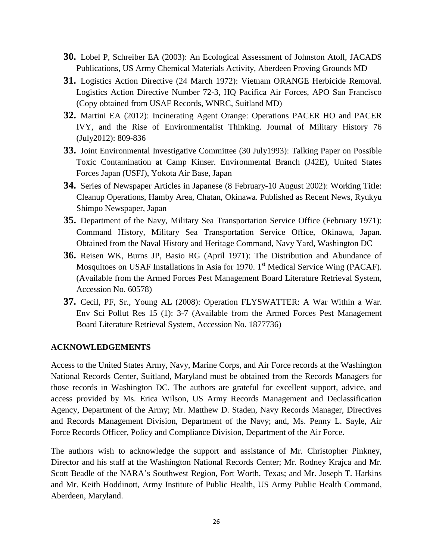- **30.** Lobel P, Schreiber EA (2003): An Ecological Assessment of Johnston Atoll, JACADS Publications, US Army Chemical Materials Activity, Aberdeen Proving Grounds MD
- **31.** Logistics Action Directive (24 March 1972): Vietnam ORANGE Herbicide Removal. Logistics Action Directive Number 72-3, HQ Pacifica Air Forces, APO San Francisco (Copy obtained from USAF Records, WNRC, Suitland MD)
- **32.** Martini EA (2012): Incinerating Agent Orange: Operations PACER HO and PACER IVY, and the Rise of Environmentalist Thinking. Journal of Military History 76 (July2012): 809-836
- **33.** Joint Environmental Investigative Committee (30 July1993): Talking Paper on Possible Toxic Contamination at Camp Kinser. Environmental Branch (J42E), United States Forces Japan (USFJ), Yokota Air Base, Japan
- **34.** Series of Newspaper Articles in Japanese (8 February-10 August 2002): Working Title: Cleanup Operations, Hamby Area, Chatan, Okinawa. Published as Recent News, Ryukyu Shimpo Newspaper, Japan
- **35.** Department of the Navy, Military Sea Transportation Service Office (February 1971): Command History, Military Sea Transportation Service Office, Okinawa, Japan. Obtained from the Naval History and Heritage Command, Navy Yard, Washington DC
- **36.** Reisen WK, Burns JP, Basio RG (April 1971): The Distribution and Abundance of Mosquitoes on USAF Installations in Asia for 1970.  $1<sup>st</sup>$  Medical Service Wing (PACAF). (Available from the Armed Forces Pest Management Board Literature Retrieval System, Accession No. 60578)
- **37.** Cecil, PF, Sr., Young AL (2008): Operation FLYSWATTER: A War Within a War. Env Sci Pollut Res 15 (1): 3-7 (Available from the Armed Forces Pest Management Board Literature Retrieval System, Accession No. 1877736)

#### **ACKNOWLEDGEMENTS**

Access to the United States Army, Navy, Marine Corps, and Air Force records at the Washington National Records Center, Suitland, Maryland must be obtained from the Records Managers for those records in Washington DC. The authors are grateful for excellent support, advice, and access provided by Ms. Erica Wilson, US Army Records Management and Declassification Agency, Department of the Army; Mr. Matthew D. Staden, Navy Records Manager, Directives and Records Management Division, Department of the Navy; and, Ms. Penny L. Sayle, Air Force Records Officer, Policy and Compliance Division, Department of the Air Force.

The authors wish to acknowledge the support and assistance of Mr. Christopher Pinkney, Director and his staff at the Washington National Records Center; Mr. Rodney Krajca and Mr. Scott Beadle of the NARA's Southwest Region, Fort Worth, Texas; and Mr. Joseph T. Harkins and Mr. Keith Hoddinott, Army Institute of Public Health, US Army Public Health Command, Aberdeen, Maryland.